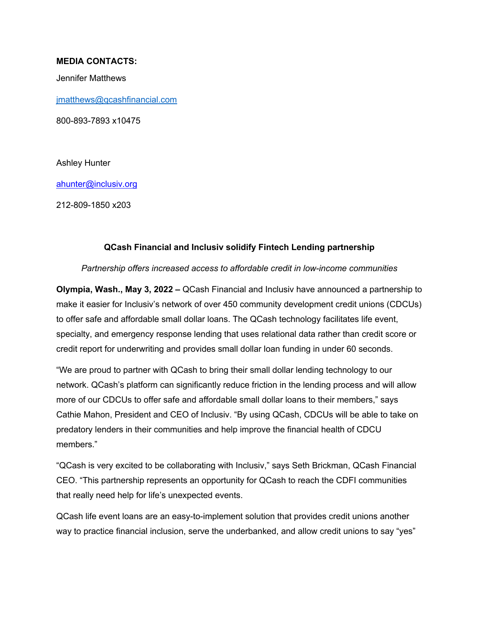## **MEDIA CONTACTS:**

Jennifer Matthews

jmatthews@qcashfinancial.com

800-893-7893 x10475

Ashley Hunter

ahunter@inclusiv.org

212-809-1850 x203

## **QCash Financial and Inclusiv solidify Fintech Lending partnership**

*Partnership offers increased access to affordable credit in low-income communities* 

**Olympia, Wash., May 3, 2022 –** QCash Financial and Inclusiv have announced a partnership to make it easier for Inclusiv's network of over 450 community development credit unions (CDCUs) to offer safe and affordable small dollar loans. The QCash technology facilitates life event, specialty, and emergency response lending that uses relational data rather than credit score or credit report for underwriting and provides small dollar loan funding in under 60 seconds.

"We are proud to partner with QCash to bring their small dollar lending technology to our network. QCash's platform can significantly reduce friction in the lending process and will allow more of our CDCUs to offer safe and affordable small dollar loans to their members," says Cathie Mahon, President and CEO of Inclusiv. "By using QCash, CDCUs will be able to take on predatory lenders in their communities and help improve the financial health of CDCU members."

"QCash is very excited to be collaborating with Inclusiv," says Seth Brickman, QCash Financial CEO. "This partnership represents an opportunity for QCash to reach the CDFI communities that really need help for life's unexpected events.

QCash life event loans are an easy-to-implement solution that provides credit unions another way to practice financial inclusion, serve the underbanked, and allow credit unions to say "yes"